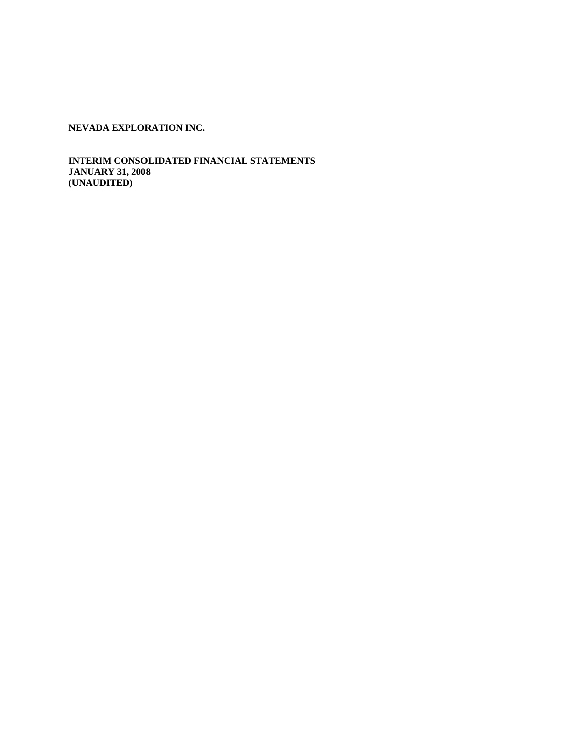**INTERIM CONSOLIDATED FINANCIAL STATEMENTS JANUARY 31, 2008 (UNAUDITED)**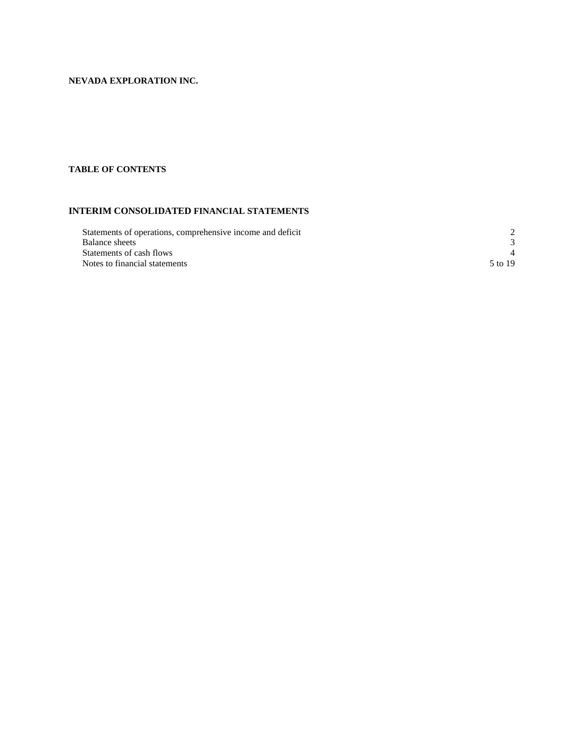# **TABLE OF CONTENTS**

# **INTERIM CONSOLIDATED FINANCIAL STATEMENTS**

| Statements of operations, comprehensive income and deficit |         |
|------------------------------------------------------------|---------|
| Balance sheets                                             |         |
| Statements of cash flows                                   |         |
| Notes to financial statements                              | 5 to 19 |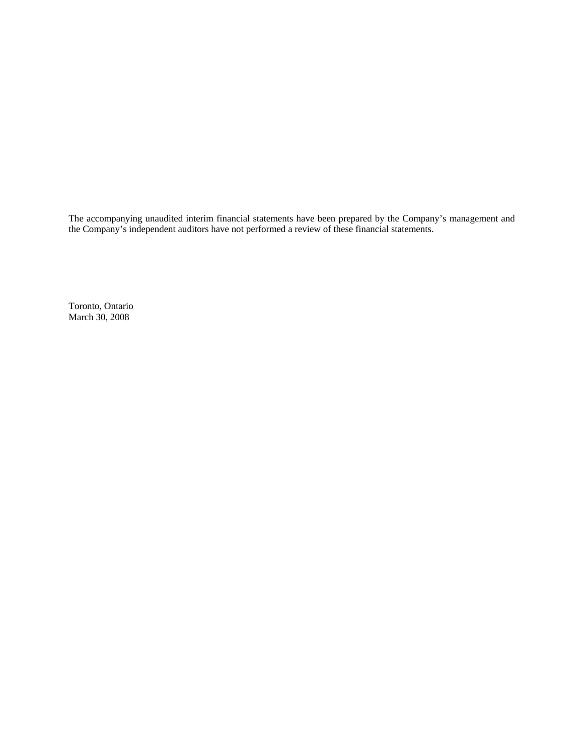The accompanying unaudited interim financial statements have been prepared by the Company's management and the Company's independent auditors have not performed a review of these financial statements.

Toronto, Ontario March 30, 2008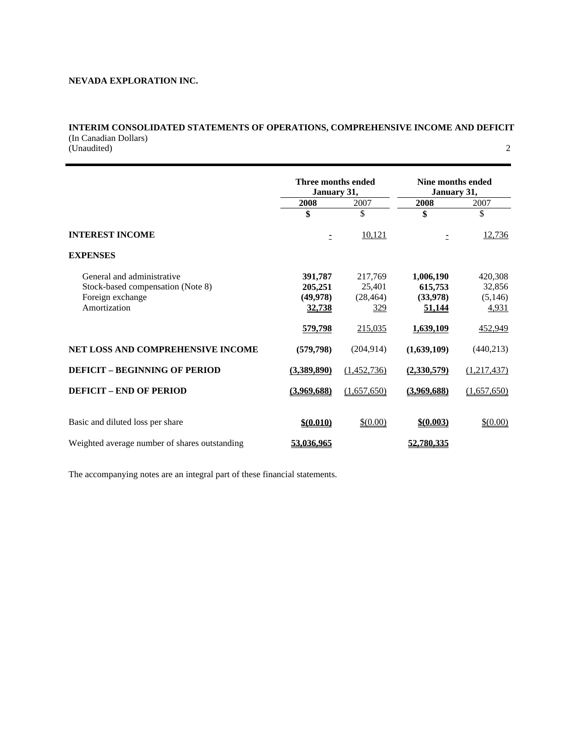# **INTERIM CONSOLIDATED STATEMENTS OF OPERATIONS, COMPREHENSIVE INCOME AND DEFICIT**  (In Canadian Dollars) (Unaudited) 2

|                                               | Three months ended<br>January 31, |             | Nine months ended<br>January 31, |             |  |
|-----------------------------------------------|-----------------------------------|-------------|----------------------------------|-------------|--|
|                                               | 2008                              | 2007        | 2008                             | 2007        |  |
|                                               | \$                                | \$          | \$                               | \$          |  |
| <b>INTEREST INCOME</b>                        | Ξ                                 | 10,121      |                                  | 12,736      |  |
| <b>EXPENSES</b>                               |                                   |             |                                  |             |  |
| General and administrative                    | 391,787                           | 217,769     | 1,006,190                        | 420,308     |  |
| Stock-based compensation (Note 8)             | 205,251                           | 25,401      | 615,753                          | 32,856      |  |
| Foreign exchange                              | (49, 978)                         | (28, 464)   | (33,978)                         | (5,146)     |  |
| Amortization                                  | <u>32,738</u>                     | <u>329</u>  | 51,144                           | 4,931       |  |
|                                               | <u>579,798</u>                    | 215,035     | 1,639,109                        | 452,949     |  |
| <b>NET LOSS AND COMPREHENSIVE INCOME</b>      | (579, 798)                        | (204, 914)  | (1,639,109)                      | (440,213)   |  |
| <b>DEFICIT - BEGINNING OF PERIOD</b>          | (3,389,890)                       | (1,452,736) | (2,330,579)                      | (1,217,437) |  |
| <b>DEFICIT - END OF PERIOD</b>                | (3,969,688)                       | (1,657,650) | (3,969,688)                      | (1,657,650) |  |
|                                               |                                   |             |                                  |             |  |
| Basic and diluted loss per share              | \$(0.010)                         | \$ (0.00)   | \$ (0.003)                       | \$ (0.00)   |  |
| Weighted average number of shares outstanding | 53,036,965                        |             | 52,780,335                       |             |  |

The accompanying notes are an integral part of these financial statements.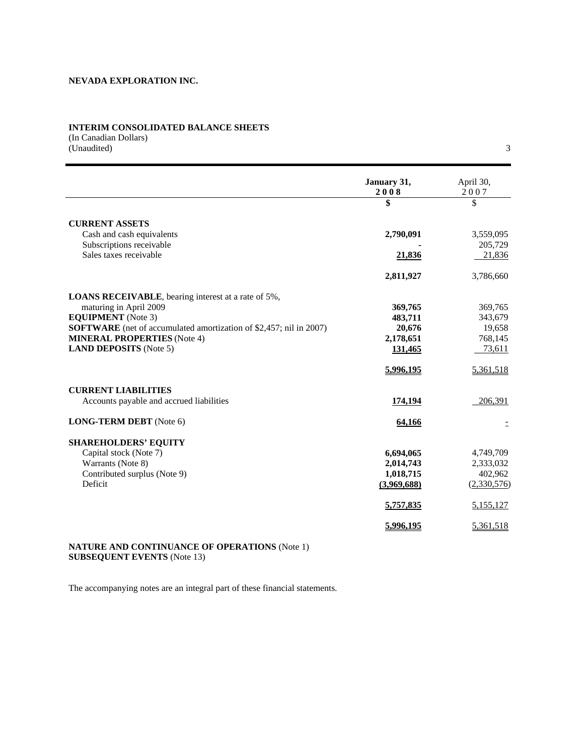# **INTERIM CONSOLIDATED BALANCE SHEETS**

(In Canadian Dollars) (Unaudited) 3

|                                                                           | January 31,<br>2008 | April 30,<br>2007 |
|---------------------------------------------------------------------------|---------------------|-------------------|
|                                                                           | \$                  | \$                |
| <b>CURRENT ASSETS</b>                                                     |                     |                   |
| Cash and cash equivalents                                                 | 2,790,091           | 3,559,095         |
| Subscriptions receivable                                                  |                     | 205,729           |
| Sales taxes receivable                                                    | 21,836              | 21,836            |
|                                                                           | 2,811,927           | 3,786,660         |
| <b>LOANS RECEIVABLE</b> , bearing interest at a rate of 5%,               |                     |                   |
| maturing in April 2009                                                    | 369,765             | 369,765           |
| <b>EQUIPMENT</b> (Note 3)                                                 | 483,711             | 343,679           |
| <b>SOFTWARE</b> (net of accumulated amortization of \$2,457; nil in 2007) | 20,676              | 19,658            |
| <b>MINERAL PROPERTIES</b> (Note 4)                                        | 2,178,651           | 768,145           |
| <b>LAND DEPOSITS</b> (Note 5)                                             | 131,465             | 73,611            |
|                                                                           | 5,996,195           | 5,361,518         |
| <b>CURRENT LIABILITIES</b>                                                |                     |                   |
| Accounts payable and accrued liabilities                                  | 174,194             | 206,391           |
| <b>LONG-TERM DEBT</b> (Note 6)                                            | 64,166              |                   |
| <b>SHAREHOLDERS' EQUITY</b>                                               |                     |                   |
| Capital stock (Note 7)                                                    | 6,694,065           | 4,749,709         |
| Warrants (Note 8)                                                         | 2,014,743           | 2,333,032         |
| Contributed surplus (Note 9)                                              | 1,018,715           | 402,962           |
| Deficit                                                                   | (3,969,688)         | (2,330,576)       |
|                                                                           | 5,757,835           | 5,155,127         |
|                                                                           | 5,996,195           | 5,361,518         |

### **NATURE AND CONTINUANCE OF OPERATIONS** (Note 1) **SUBSEQUENT EVENTS** (Note 13)

The accompanying notes are an integral part of these financial statements.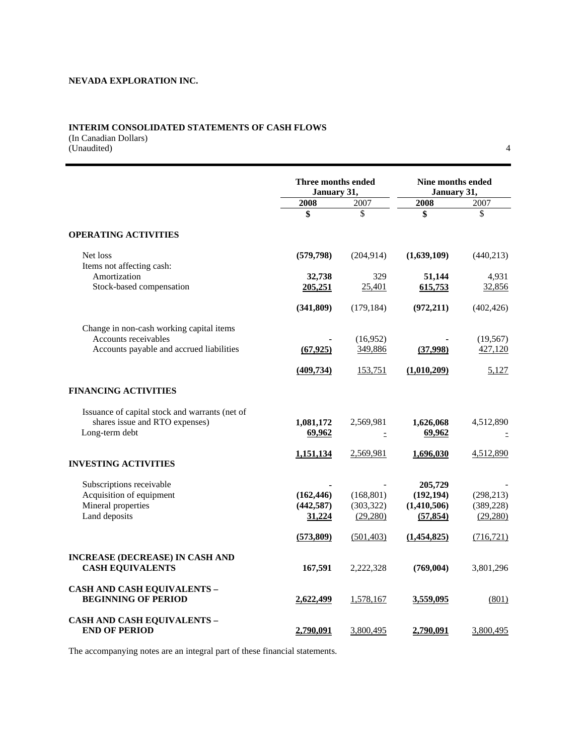# **INTERIM CONSOLIDATED STATEMENTS OF CASH FLOWS**

(In Canadian Dollars) (Unaudited) 4

|                                                                  | Three months ended<br>January 31, |                     | Nine months ended<br>January 31, |                      |  |
|------------------------------------------------------------------|-----------------------------------|---------------------|----------------------------------|----------------------|--|
|                                                                  | 2008                              | 2007                | 2008                             | 2007                 |  |
|                                                                  | \$                                | \$                  | \$                               | \$                   |  |
| <b>OPERATING ACTIVITIES</b>                                      |                                   |                     |                                  |                      |  |
| Net loss<br>Items not affecting cash:                            | (579, 798)                        | (204, 914)          | (1,639,109)                      | (440, 213)           |  |
| Amortization                                                     | 32,738                            | 329                 | 51,144                           | 4,931                |  |
| Stock-based compensation                                         | 205,251                           | 25,401              | 615,753                          | 32,856               |  |
|                                                                  | (341, 809)                        | (179, 184)          | (972, 211)                       | (402, 426)           |  |
| Change in non-cash working capital items                         |                                   |                     |                                  |                      |  |
| Accounts receivables<br>Accounts payable and accrued liabilities | (67, 925)                         | (16,952)<br>349,886 | (37,998)                         | (19, 567)<br>427,120 |  |
|                                                                  |                                   |                     |                                  |                      |  |
|                                                                  | (409, 734)                        | 153,751             | (1,010,209)                      | 5,127                |  |
| <b>FINANCING ACTIVITIES</b>                                      |                                   |                     |                                  |                      |  |
| Issuance of capital stock and warrants (net of                   |                                   |                     |                                  |                      |  |
| shares issue and RTO expenses)<br>Long-term debt                 | 1,081,172<br>69,962               | 2,569,981<br>Ξ      | 1,626,068<br>69,962              | 4,512,890            |  |
|                                                                  | 1,151,134                         | 2,569,981           | 1,696,030                        | 4,512,890            |  |
| <b>INVESTING ACTIVITIES</b>                                      |                                   |                     |                                  |                      |  |
| Subscriptions receivable                                         |                                   |                     | 205,729                          |                      |  |
| Acquisition of equipment                                         | (162, 446)                        | (168, 801)          | (192, 194)                       | (298, 213)           |  |
| Mineral properties                                               | (442, 587)                        | (303, 322)          | (1,410,506)                      | (389, 228)           |  |
| Land deposits                                                    | 31,224                            | (29, 280)           | (57, 854)                        | (29, 280)            |  |
|                                                                  | (573,809)                         | (501, 403)          | (1,454,825)                      | (716, 721)           |  |
| <b>INCREASE (DECREASE) IN CASH AND</b>                           |                                   |                     |                                  |                      |  |
| <b>CASH EQUIVALENTS</b>                                          | 167,591                           | 2,222,328           | (769, 004)                       | 3,801,296            |  |
| <b>CASH AND CASH EQUIVALENTS -</b><br><b>BEGINNING OF PERIOD</b> | 2,622,499                         | 1,578,167           | 3,559,095                        | (801)                |  |
| <b>CASH AND CASH EQUIVALENTS -</b><br><b>END OF PERIOD</b>       | 2,790,091                         | 3,800,495           | 2,790,091                        | 3,800,495            |  |

The accompanying notes are an integral part of these financial statements.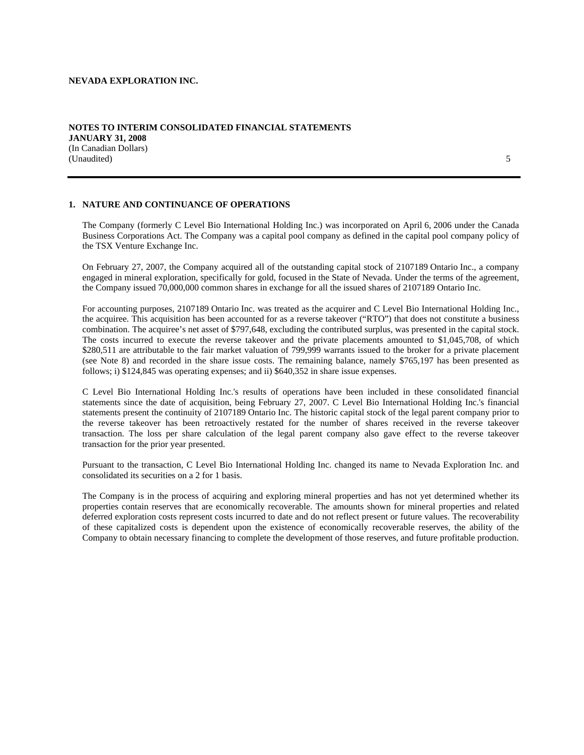(In Canadian Dollars) (Unaudited) 5

## **1. NATURE AND CONTINUANCE OF OPERATIONS**

The Company (formerly C Level Bio International Holding Inc.) was incorporated on April 6, 2006 under the Canada Business Corporations Act. The Company was a capital pool company as defined in the capital pool company policy of the TSX Venture Exchange Inc.

On February 27, 2007, the Company acquired all of the outstanding capital stock of 2107189 Ontario Inc., a company engaged in mineral exploration, specifically for gold, focused in the State of Nevada. Under the terms of the agreement, the Company issued 70,000,000 common shares in exchange for all the issued shares of 2107189 Ontario Inc.

For accounting purposes, 2107189 Ontario Inc. was treated as the acquirer and C Level Bio International Holding Inc., the acquiree. This acquisition has been accounted for as a reverse takeover ("RTO") that does not constitute a business combination. The acquiree's net asset of \$797,648, excluding the contributed surplus, was presented in the capital stock. The costs incurred to execute the reverse takeover and the private placements amounted to \$1,045,708, of which \$280,511 are attributable to the fair market valuation of 799,999 warrants issued to the broker for a private placement (see Note 8) and recorded in the share issue costs. The remaining balance, namely \$765,197 has been presented as follows; i) \$124,845 was operating expenses; and ii) \$640,352 in share issue expenses.

C Level Bio International Holding Inc.'s results of operations have been included in these consolidated financial statements since the date of acquisition, being February 27, 2007. C Level Bio International Holding Inc.'s financial statements present the continuity of 2107189 Ontario Inc. The historic capital stock of the legal parent company prior to the reverse takeover has been retroactively restated for the number of shares received in the reverse takeover transaction. The loss per share calculation of the legal parent company also gave effect to the reverse takeover transaction for the prior year presented.

Pursuant to the transaction, C Level Bio International Holding Inc. changed its name to Nevada Exploration Inc. and consolidated its securities on a 2 for 1 basis.

The Company is in the process of acquiring and exploring mineral properties and has not yet determined whether its properties contain reserves that are economically recoverable. The amounts shown for mineral properties and related deferred exploration costs represent costs incurred to date and do not reflect present or future values. The recoverability of these capitalized costs is dependent upon the existence of economically recoverable reserves, the ability of the Company to obtain necessary financing to complete the development of those reserves, and future profitable production.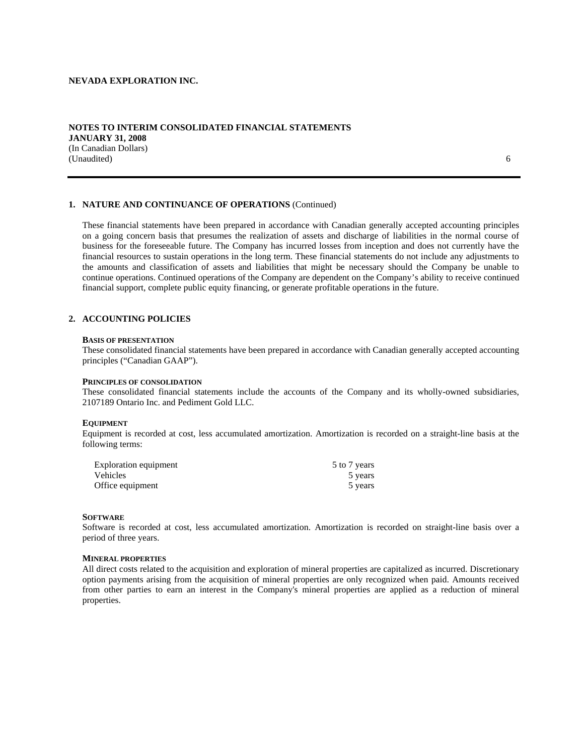### **NOTES TO INTERIM CONSOLIDATED FINANCIAL STATEMENTS JANUARY 31, 2008**  (In Canadian Dollars) (Unaudited) 6

# **1. NATURE AND CONTINUANCE OF OPERATIONS** (Continued)

These financial statements have been prepared in accordance with Canadian generally accepted accounting principles on a going concern basis that presumes the realization of assets and discharge of liabilities in the normal course of business for the foreseeable future. The Company has incurred losses from inception and does not currently have the financial resources to sustain operations in the long term. These financial statements do not include any adjustments to the amounts and classification of assets and liabilities that might be necessary should the Company be unable to continue operations. Continued operations of the Company are dependent on the Company's ability to receive continued financial support, complete public equity financing, or generate profitable operations in the future.

### **2. ACCOUNTING POLICIES**

#### **BASIS OF PRESENTATION**

These consolidated financial statements have been prepared in accordance with Canadian generally accepted accounting principles ("Canadian GAAP").

#### **PRINCIPLES OF CONSOLIDATION**

These consolidated financial statements include the accounts of the Company and its wholly-owned subsidiaries, 2107189 Ontario Inc. and Pediment Gold LLC.

#### **EQUIPMENT**

Equipment is recorded at cost, less accumulated amortization. Amortization is recorded on a straight-line basis at the following terms:

| Exploration equipment | 5 to 7 years |
|-----------------------|--------------|
| Vehicles              | 5 years      |
| Office equipment      | 5 years      |

#### **SOFTWARE**

Software is recorded at cost, less accumulated amortization. Amortization is recorded on straight-line basis over a period of three years.

#### **MINERAL PROPERTIES**

All direct costs related to the acquisition and exploration of mineral properties are capitalized as incurred. Discretionary option payments arising from the acquisition of mineral properties are only recognized when paid. Amounts received from other parties to earn an interest in the Company's mineral properties are applied as a reduction of mineral properties.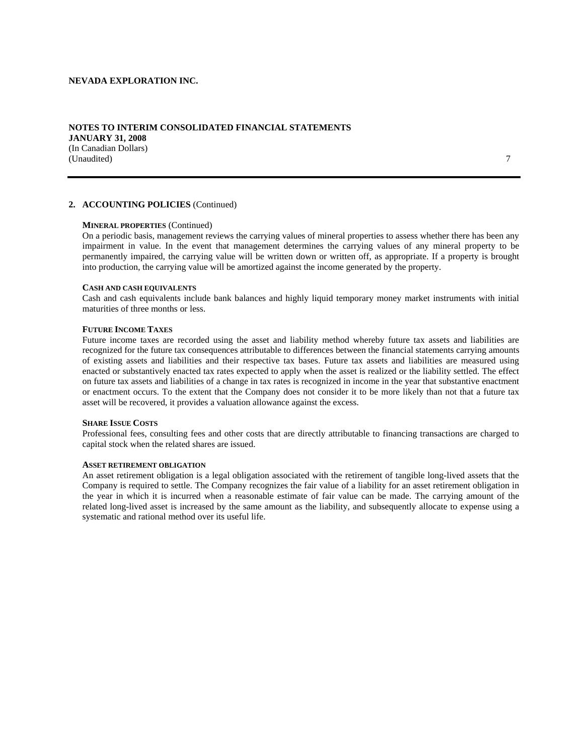### **NOTES TO INTERIM CONSOLIDATED FINANCIAL STATEMENTS JANUARY 31, 2008**  (In Canadian Dollars) (Unaudited) 7

### **2. ACCOUNTING POLICIES** (Continued)

### **MINERAL PROPERTIES** (Continued)

On a periodic basis, management reviews the carrying values of mineral properties to assess whether there has been any impairment in value. In the event that management determines the carrying values of any mineral property to be permanently impaired, the carrying value will be written down or written off, as appropriate. If a property is brought into production, the carrying value will be amortized against the income generated by the property.

#### **CASH AND CASH EQUIVALENTS**

Cash and cash equivalents include bank balances and highly liquid temporary money market instruments with initial maturities of three months or less.

#### **FUTURE INCOME TAXES**

Future income taxes are recorded using the asset and liability method whereby future tax assets and liabilities are recognized for the future tax consequences attributable to differences between the financial statements carrying amounts of existing assets and liabilities and their respective tax bases. Future tax assets and liabilities are measured using enacted or substantively enacted tax rates expected to apply when the asset is realized or the liability settled. The effect on future tax assets and liabilities of a change in tax rates is recognized in income in the year that substantive enactment or enactment occurs. To the extent that the Company does not consider it to be more likely than not that a future tax asset will be recovered, it provides a valuation allowance against the excess.

### **SHARE ISSUE COSTS**

Professional fees, consulting fees and other costs that are directly attributable to financing transactions are charged to capital stock when the related shares are issued.

#### **ASSET RETIREMENT OBLIGATION**

An asset retirement obligation is a legal obligation associated with the retirement of tangible long-lived assets that the Company is required to settle. The Company recognizes the fair value of a liability for an asset retirement obligation in the year in which it is incurred when a reasonable estimate of fair value can be made. The carrying amount of the related long-lived asset is increased by the same amount as the liability, and subsequently allocate to expense using a systematic and rational method over its useful life.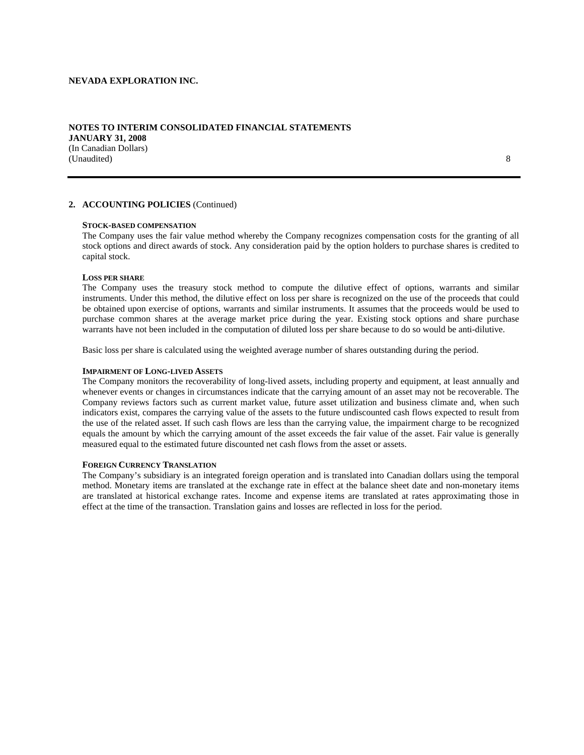### **NOTES TO INTERIM CONSOLIDATED FINANCIAL STATEMENTS JANUARY 31, 2008**  (In Canadian Dollars) (Unaudited) 8

# **2. ACCOUNTING POLICIES** (Continued)

### **STOCK-BASED COMPENSATION**

The Company uses the fair value method whereby the Company recognizes compensation costs for the granting of all stock options and direct awards of stock. Any consideration paid by the option holders to purchase shares is credited to capital stock.

#### **LOSS PER SHARE**

The Company uses the treasury stock method to compute the dilutive effect of options, warrants and similar instruments. Under this method, the dilutive effect on loss per share is recognized on the use of the proceeds that could be obtained upon exercise of options, warrants and similar instruments. It assumes that the proceeds would be used to purchase common shares at the average market price during the year. Existing stock options and share purchase warrants have not been included in the computation of diluted loss per share because to do so would be anti-dilutive.

Basic loss per share is calculated using the weighted average number of shares outstanding during the period.

#### **IMPAIRMENT OF LONG-LIVED ASSETS**

The Company monitors the recoverability of long-lived assets, including property and equipment, at least annually and whenever events or changes in circumstances indicate that the carrying amount of an asset may not be recoverable. The Company reviews factors such as current market value, future asset utilization and business climate and, when such indicators exist, compares the carrying value of the assets to the future undiscounted cash flows expected to result from the use of the related asset. If such cash flows are less than the carrying value, the impairment charge to be recognized equals the amount by which the carrying amount of the asset exceeds the fair value of the asset. Fair value is generally measured equal to the estimated future discounted net cash flows from the asset or assets.

#### **FOREIGN CURRENCY TRANSLATION**

The Company's subsidiary is an integrated foreign operation and is translated into Canadian dollars using the temporal method. Monetary items are translated at the exchange rate in effect at the balance sheet date and non-monetary items are translated at historical exchange rates. Income and expense items are translated at rates approximating those in effect at the time of the transaction. Translation gains and losses are reflected in loss for the period.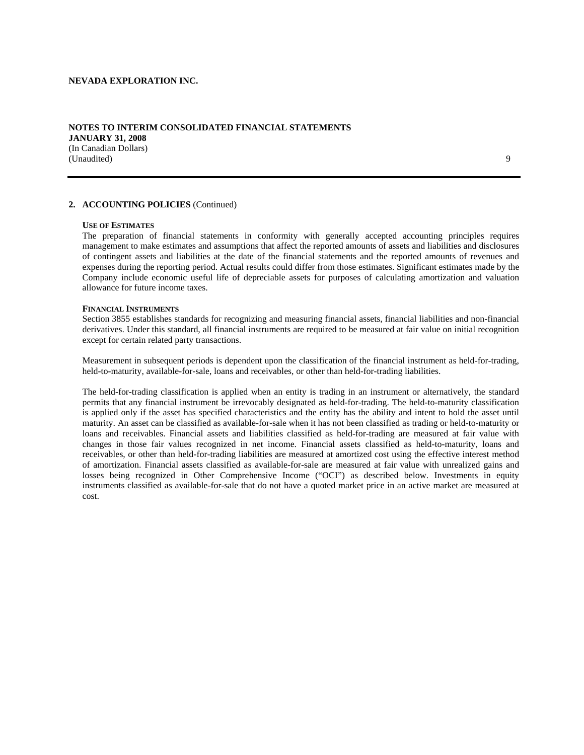### **NOTES TO INTERIM CONSOLIDATED FINANCIAL STATEMENTS JANUARY 31, 2008**  (In Canadian Dollars) (Unaudited) 9

### **2. ACCOUNTING POLICIES** (Continued)

### **USE OF ESTIMATES**

The preparation of financial statements in conformity with generally accepted accounting principles requires management to make estimates and assumptions that affect the reported amounts of assets and liabilities and disclosures of contingent assets and liabilities at the date of the financial statements and the reported amounts of revenues and expenses during the reporting period. Actual results could differ from those estimates. Significant estimates made by the Company include economic useful life of depreciable assets for purposes of calculating amortization and valuation allowance for future income taxes.

#### **FINANCIAL INSTRUMENTS**

Section 3855 establishes standards for recognizing and measuring financial assets, financial liabilities and non-financial derivatives. Under this standard, all financial instruments are required to be measured at fair value on initial recognition except for certain related party transactions.

Measurement in subsequent periods is dependent upon the classification of the financial instrument as held-for-trading, held-to-maturity, available-for-sale, loans and receivables, or other than held-for-trading liabilities.

The held-for-trading classification is applied when an entity is trading in an instrument or alternatively, the standard permits that any financial instrument be irrevocably designated as held-for-trading. The held-to-maturity classification is applied only if the asset has specified characteristics and the entity has the ability and intent to hold the asset until maturity. An asset can be classified as available-for-sale when it has not been classified as trading or held-to-maturity or loans and receivables. Financial assets and liabilities classified as held-for-trading are measured at fair value with changes in those fair values recognized in net income. Financial assets classified as held-to-maturity, loans and receivables, or other than held-for-trading liabilities are measured at amortized cost using the effective interest method of amortization. Financial assets classified as available-for-sale are measured at fair value with unrealized gains and losses being recognized in Other Comprehensive Income ("OCI") as described below. Investments in equity instruments classified as available-for-sale that do not have a quoted market price in an active market are measured at cost.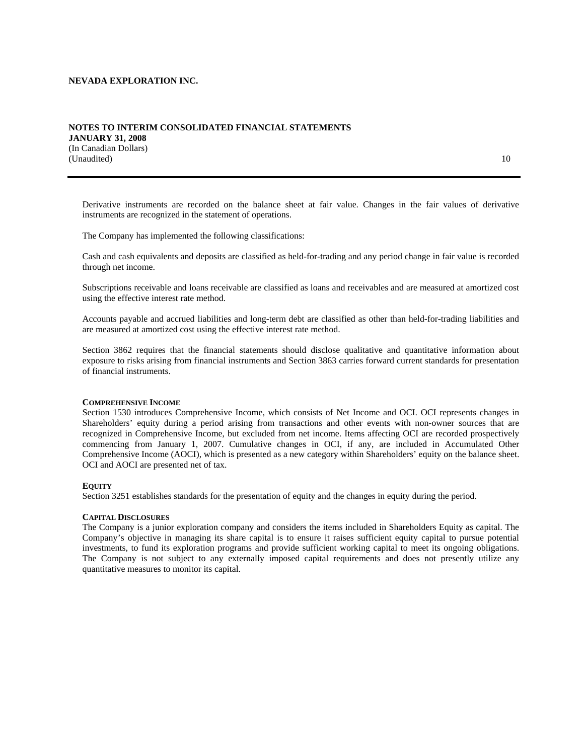### **NOTES TO INTERIM CONSOLIDATED FINANCIAL STATEMENTS JANUARY 31, 2008**  (In Canadian Dollars) (Unaudited) 10

Derivative instruments are recorded on the balance sheet at fair value. Changes in the fair values of derivative instruments are recognized in the statement of operations.

The Company has implemented the following classifications:

Cash and cash equivalents and deposits are classified as held-for-trading and any period change in fair value is recorded through net income.

Subscriptions receivable and loans receivable are classified as loans and receivables and are measured at amortized cost using the effective interest rate method.

Accounts payable and accrued liabilities and long-term debt are classified as other than held-for-trading liabilities and are measured at amortized cost using the effective interest rate method.

Section 3862 requires that the financial statements should disclose qualitative and quantitative information about exposure to risks arising from financial instruments and Section 3863 carries forward current standards for presentation of financial instruments.

#### **COMPREHENSIVE INCOME**

Section 1530 introduces Comprehensive Income, which consists of Net Income and OCI. OCI represents changes in Shareholders' equity during a period arising from transactions and other events with non-owner sources that are recognized in Comprehensive Income, but excluded from net income. Items affecting OCI are recorded prospectively commencing from January 1, 2007. Cumulative changes in OCI, if any, are included in Accumulated Other Comprehensive Income (AOCI), which is presented as a new category within Shareholders' equity on the balance sheet. OCI and AOCI are presented net of tax.

### **EQUITY**

Section 3251 establishes standards for the presentation of equity and the changes in equity during the period.

### **CAPITAL DISCLOSURES**

The Company is a junior exploration company and considers the items included in Shareholders Equity as capital. The Company's objective in managing its share capital is to ensure it raises sufficient equity capital to pursue potential investments, to fund its exploration programs and provide sufficient working capital to meet its ongoing obligations. The Company is not subject to any externally imposed capital requirements and does not presently utilize any quantitative measures to monitor its capital.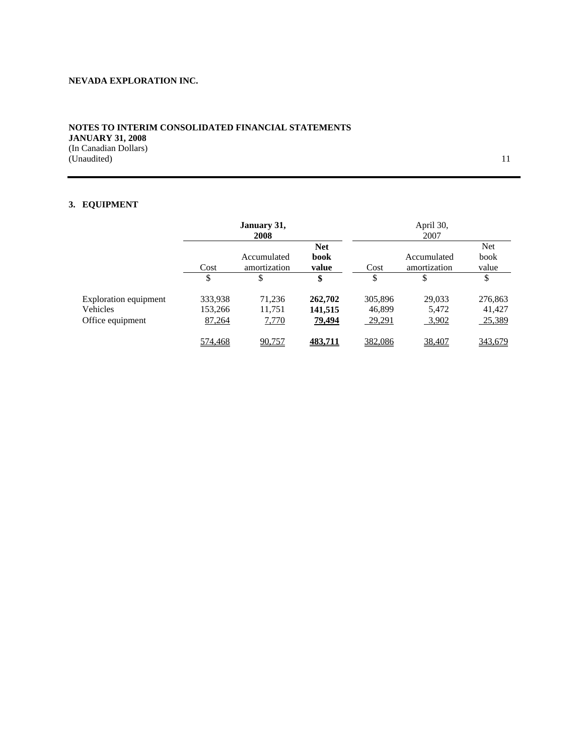## **NOTES TO INTERIM CONSOLIDATED FINANCIAL STATEMENTS JANUARY 31, 2008**  (In Canadian Dollars) (Unaudited) 11

# **3. EQUIPMENT**

|                                                       |                              | January 31,<br>2008              |                                     |                             | April 30,<br>2007           |                             |
|-------------------------------------------------------|------------------------------|----------------------------------|-------------------------------------|-----------------------------|-----------------------------|-----------------------------|
|                                                       | Cost                         | Accumulated<br>amortization      | <b>Net</b><br>book<br>value         | Cost                        | Accumulated<br>amortization | Net<br>book<br>value        |
|                                                       | \$                           | \$                               | \$                                  | \$                          | \$                          | \$                          |
| Exploration equipment<br>Vehicles<br>Office equipment | 333,938<br>153,266<br>87,264 | 71,236<br>11,751<br><u>7,770</u> | 262,702<br>141,515<br><u>79,494</u> | 305,896<br>46,899<br>29,291 | 29,033<br>5,472<br>3,902    | 276,863<br>41,427<br>25,389 |
|                                                       | 574,468                      | 90,757                           | 483.711                             | 382,086                     | 38,407                      | 343,679                     |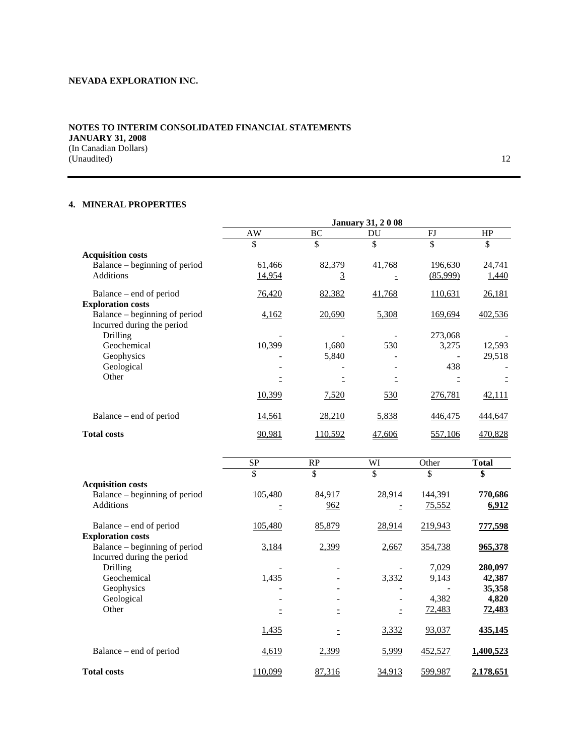## **NOTES TO INTERIM CONSOLIDATED FINANCIAL STATEMENTS JANUARY 31, 2008**  (In Canadian Dollars) (Unaudited) 12

# **4. MINERAL PROPERTIES**

|                               | <b>January 31, 2008</b> |         |            |                |               |
|-------------------------------|-------------------------|---------|------------|----------------|---------------|
|                               | AW                      | ВC      | DU         | FJ             | HP            |
|                               | \$                      | \$      | \$         | \$             | \$            |
| <b>Acquisition costs</b>      |                         |         |            |                |               |
| Balance – beginning of period | 61,466                  | 82,379  | 41,768     | 196,630        | 24,741        |
| <b>Additions</b>              | 14,954                  | 3       |            | (85,999)       | 1,440         |
| Balance – end of period       | 76,420                  | 82,382  | 41,768     | 110,631        | 26,181        |
| <b>Exploration costs</b>      |                         |         |            |                |               |
| Balance – beginning of period | 4,162                   | 20,690  | 5,308      | 169,694        | 402,536       |
| Incurred during the period    |                         |         |            |                |               |
| Drilling                      |                         |         |            | 273,068        |               |
| Geochemical                   | 10,399                  | 1,680   | 530        | 3,275          | 12,593        |
| Geophysics                    |                         | 5,840   |            |                | 29,518        |
| Geological                    |                         |         |            | 438            |               |
| Other                         |                         |         |            |                |               |
|                               | 10,399                  | 7,520   | <u>530</u> | 276,781        | <u>42,111</u> |
| Balance – end of period       | 14,561                  | 28,210  | 5,838      | 446,475        | 444,647       |
| <b>Total costs</b>            | 90,981                  | 110,592 | 47,606     | <u>557,106</u> | 470,828       |

|                               | SP           | RP     | WI                       | Other         | <b>Total</b>  |
|-------------------------------|--------------|--------|--------------------------|---------------|---------------|
|                               | \$           | \$     | \$                       | \$            | \$            |
| <b>Acquisition costs</b>      |              |        |                          |               |               |
| Balance – beginning of period | 105,480      | 84,917 | 28,914                   | 144,391       | 770,686       |
| <b>Additions</b>              |              | 962    |                          | 75,552        | 6,912         |
| Balance – end of period       | 105,480      | 85,879 | 28,914                   | 219,943       | 777,598       |
| <b>Exploration costs</b>      |              |        |                          |               |               |
| Balance – beginning of period | 3,184        | 2,399  | 2,667                    | 354,738       | 965,378       |
| Incurred during the period    |              |        |                          |               |               |
| Drilling                      |              |        |                          | 7,029         | 280,097       |
| Geochemical                   | 1,435        |        | 3,332                    | 9,143         | 42,387        |
| Geophysics                    |              |        |                          |               | 35,358        |
| Geological                    |              | ۰      | $\overline{\phantom{a}}$ | 4,382         | 4,820         |
| Other                         |              |        |                          | <u>72,483</u> | <u>72,483</u> |
|                               | <u>1,435</u> |        | 3,332                    | 93,037        | 435,145       |
| Balance – end of period       | 4,619        | 2,399  | 5,999                    | 452,527       | 1,400,523     |
| <b>Total costs</b>            | 110,099      | 87,316 | 34,913                   | 599,987       | 2.178.651     |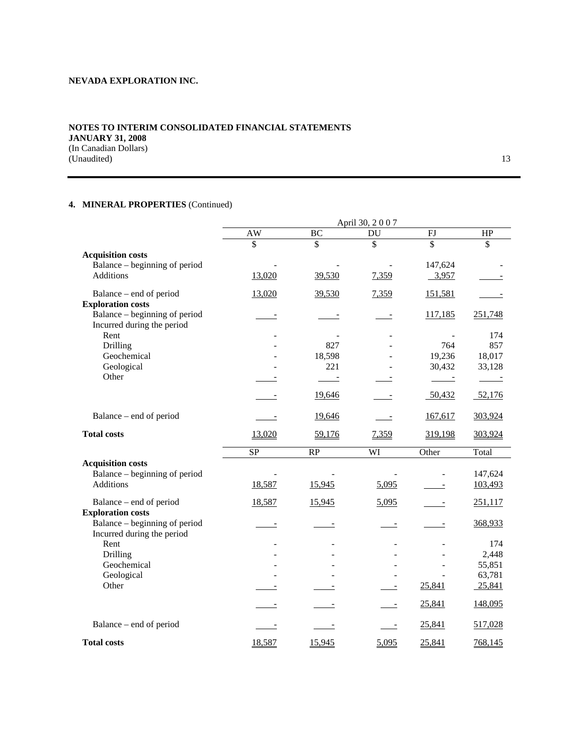## **NOTES TO INTERIM CONSOLIDATED FINANCIAL STATEMENTS JANUARY 31, 2008**  (In Canadian Dollars) (Unaudited) 13

# **4. MINERAL PROPERTIES** (Continued)

|                               |                          |            | April 30, 2007           |            |            |
|-------------------------------|--------------------------|------------|--------------------------|------------|------------|
|                               | AW                       | BC         | DU                       | FJ         | HP         |
|                               | \$                       | \$         | \$                       | \$         | \$         |
| <b>Acquisition costs</b>      |                          |            |                          |            |            |
| Balance – beginning of period |                          |            |                          | 147,624    |            |
| <b>Additions</b>              | 13,020                   | 39,530     | 7,359                    | 3,957      |            |
| Balance – end of period       | 13,020                   | 39,530     | 7,359                    | 151,581    |            |
| <b>Exploration costs</b>      |                          |            |                          |            |            |
| Balance – beginning of period | $\overline{\phantom{a}}$ |            | $\overline{a}$           | 117,185    | 251,748    |
| Incurred during the period    |                          |            |                          |            |            |
| Rent                          |                          |            |                          |            | 174        |
| Drilling                      |                          | 827        |                          | 764        | 857        |
| Geochemical                   |                          | 18,598     |                          | 19,236     | 18,017     |
| Geological                    |                          | 221        |                          | 30,432     | 33,128     |
| Other                         |                          | $\sim$ $-$ |                          | $\sim$ $-$ | $\sim$ $-$ |
|                               |                          | 19,646     |                          | 50,432     | 52,176     |
| Balance – end of period       |                          | 19,646     | $\overline{\phantom{a}}$ | 167,617    | 303,924    |
| <b>Total costs</b>            | 13,020                   | 59,176     | 7,359                    | 319,198    | 303,924    |
|                               | <b>SP</b>                | RP         | WI                       | Other      | Total      |
| <b>Acquisition costs</b>      |                          |            |                          |            |            |
| Balance – beginning of period |                          |            | $\overline{\phantom{a}}$ |            | 147,624    |
| <b>Additions</b>              | 18,587                   | 15,945     | 5,095                    |            | 103,493    |
| Balance – end of period       | 18,587                   | 15,945     | 5,095                    |            | 251,117    |
| <b>Exploration costs</b>      |                          |            |                          |            |            |
| Balance – beginning of period | $\overline{\phantom{a}}$ |            |                          |            | 368,933    |
| Incurred during the period    |                          |            |                          |            |            |
| Rent                          |                          |            |                          |            | 174        |
| Drilling                      |                          |            |                          |            | 2,448      |
| Geochemical                   |                          |            |                          |            | 55,851     |
| Geological                    |                          |            |                          |            | 63,781     |
| Other                         |                          |            |                          | 25,841     | 25,841     |
|                               |                          |            |                          | 25,841     | 148,095    |
| Balance – end of period       |                          |            |                          | 25,841     | 517,028    |
| <b>Total costs</b>            | 18,587                   | 15,945     | 5,095                    | 25,841     | 768,145    |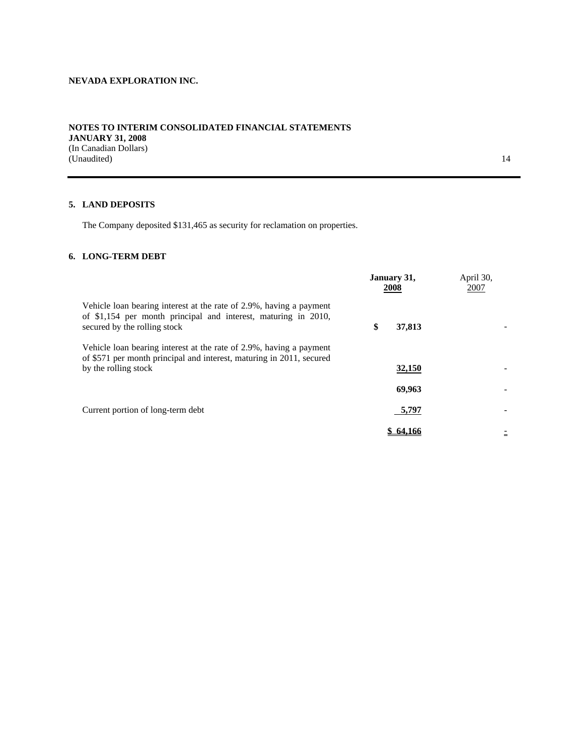## **NOTES TO INTERIM CONSOLIDATED FINANCIAL STATEMENTS JANUARY 31, 2008**  (In Canadian Dollars) (Unaudited) and the contract of the contract of the contract of the contract of the contract of the contract of the contract of the contract of the contract of the contract of the contract of the contract of the contract o

# **5. LAND DEPOSITS**

The Company deposited \$131,465 as security for reclamation on properties.

# **6. LONG-TERM DEBT**

|                                                                                                                                                                       | January 31,<br>2008 | April 30,<br>2007 |
|-----------------------------------------------------------------------------------------------------------------------------------------------------------------------|---------------------|-------------------|
| Vehicle loan bearing interest at the rate of 2.9%, having a payment<br>of \$1,154 per month principal and interest, maturing in 2010,<br>secured by the rolling stock | \$<br>37,813        |                   |
| Vehicle loan bearing interest at the rate of 2.9%, having a payment<br>of \$571 per month principal and interest, maturing in 2011, secured<br>by the rolling stock   | 32,150              |                   |
|                                                                                                                                                                       | 69.963              |                   |
| Current portion of long-term debt                                                                                                                                     | 5,797               |                   |
|                                                                                                                                                                       | 64.166              | $=$               |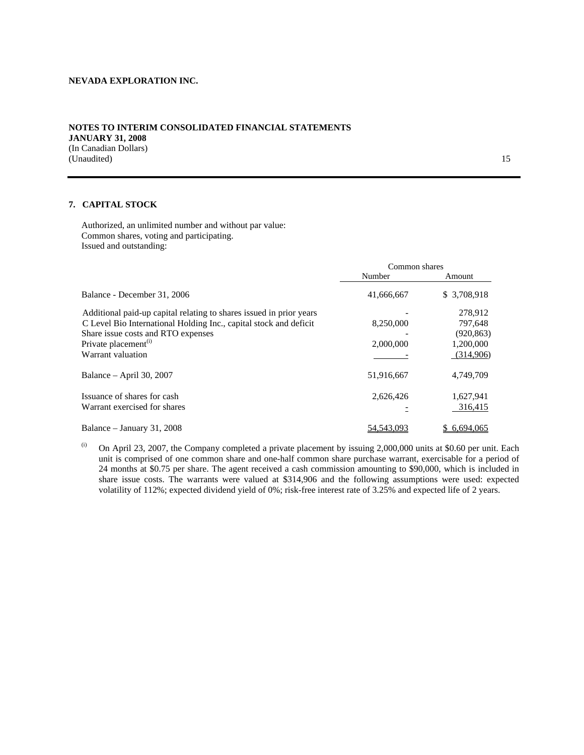### **NOTES TO INTERIM CONSOLIDATED FINANCIAL STATEMENTS JANUARY 31, 2008**  (In Canadian Dollars) (Unaudited) 15

## **7. CAPITAL STOCK**

Authorized, an unlimited number and without par value: Common shares, voting and participating. Issued and outstanding:

|                                                                     | Common shares |              |
|---------------------------------------------------------------------|---------------|--------------|
|                                                                     | Number        | Amount       |
| Balance - December 31, 2006                                         | 41,666,667    | \$3,708,918  |
| Additional paid-up capital relating to shares issued in prior years |               | 278,912      |
| C Level Bio International Holding Inc., capital stock and deficit   | 8,250,000     | 797,648      |
| Share issue costs and RTO expenses                                  |               | (920, 863)   |
| Private placement <sup>(i)</sup>                                    | 2,000,000     | 1,200,000    |
| Warrant valuation                                                   |               | (314,906)    |
| Balance – April 30, 2007                                            | 51,916,667    | 4,749,709    |
| Issuance of shares for cash                                         | 2,626,426     | 1,627,941    |
| Warrant exercised for shares                                        |               | 316,415      |
| Balance – January 31, 2008                                          | 54, 543, 093  | \$ 6,694,065 |

(i) On April 23, 2007, the Company completed a private placement by issuing  $2,000,000$  units at \$0.60 per unit. Each unit is comprised of one common share and one-half common share purchase warrant, exercisable for a period of 24 months at \$0.75 per share. The agent received a cash commission amounting to \$90,000, which is included in share issue costs. The warrants were valued at \$314,906 and the following assumptions were used: expected volatility of 112%; expected dividend yield of 0%; risk-free interest rate of 3.25% and expected life of 2 years.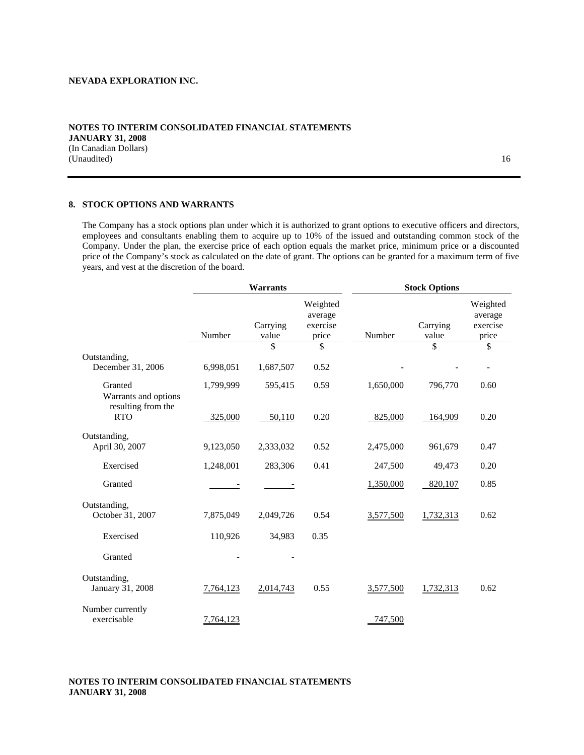### **NOTES TO INTERIM CONSOLIDATED FINANCIAL STATEMENTS JANUARY 31, 2008**  (In Canadian Dollars) (Unaudited) 16

### **8. STOCK OPTIONS AND WARRANTS**

The Company has a stock options plan under which it is authorized to grant options to executive officers and directors, employees and consultants enabling them to acquire up to 10% of the issued and outstanding common stock of the Company. Under the plan, the exercise price of each option equals the market price, minimum price or a discounted price of the Company's stock as calculated on the date of grant. The options can be granted for a maximum term of five years, and vest at the discretion of the board.

|                                                          | <b>Warrants</b>          |                   |                                          | <b>Stock Options</b> |                   |                                          |  |
|----------------------------------------------------------|--------------------------|-------------------|------------------------------------------|----------------------|-------------------|------------------------------------------|--|
|                                                          | Number                   | Carrying<br>value | Weighted<br>average<br>exercise<br>price | Number               | Carrying<br>value | Weighted<br>average<br>exercise<br>price |  |
|                                                          |                          | \$                | \$                                       |                      | \$                | \$                                       |  |
| Outstanding,<br>December 31, 2006                        | 6,998,051                | 1,687,507         | 0.52                                     |                      |                   |                                          |  |
| Granted                                                  | 1,799,999                | 595,415           | 0.59                                     | 1,650,000            | 796,770           | 0.60                                     |  |
| Warrants and options<br>resulting from the<br><b>RTO</b> | 325,000                  | 50,110            | 0.20                                     | 825,000              | 164,909           | 0.20                                     |  |
| Outstanding,                                             |                          |                   |                                          |                      |                   |                                          |  |
| April 30, 2007                                           | 9,123,050                | 2,333,032         | 0.52                                     | 2,475,000            | 961,679           | 0.47                                     |  |
| Exercised                                                | 1,248,001                | 283,306           | 0.41                                     | 247,500              | 49,473            | 0.20                                     |  |
| Granted                                                  | $\overline{\phantom{a}}$ |                   |                                          | 1,350,000            | 820,107           | 0.85                                     |  |
| Outstanding,                                             |                          |                   |                                          |                      |                   |                                          |  |
| October 31, 2007                                         | 7,875,049                | 2,049,726         | 0.54                                     | 3,577,500            | 1,732,313         | 0.62                                     |  |
| Exercised                                                | 110,926                  | 34,983            | 0.35                                     |                      |                   |                                          |  |
| Granted                                                  |                          |                   |                                          |                      |                   |                                          |  |
| Outstanding,<br>January 31, 2008                         | 7,764,123                | 2,014,743         | 0.55                                     | 3,577,500            | 1,732,313         | 0.62                                     |  |
| Number currently<br>exercisable                          | 7,764,123                |                   |                                          | 747,500              |                   |                                          |  |

# **NOTES TO INTERIM CONSOLIDATED FINANCIAL STATEMENTS JANUARY 31, 2008**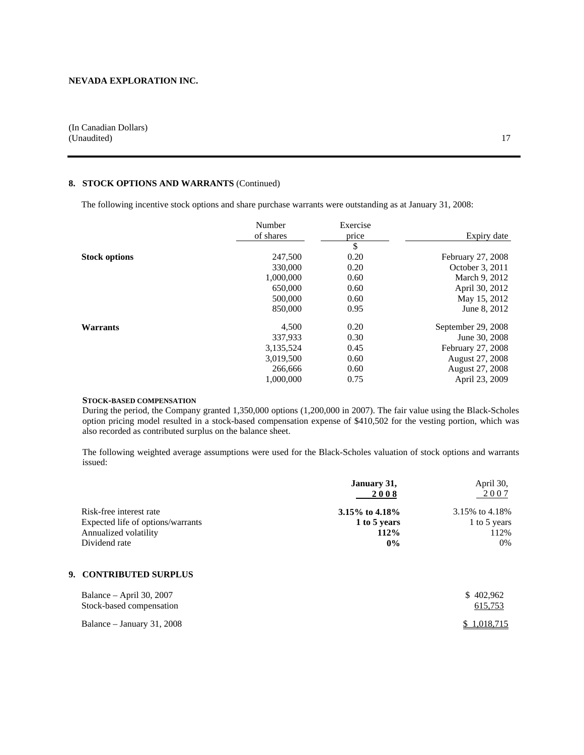(In Canadian Dollars) (Unaudited) and 17

# **8. STOCK OPTIONS AND WARRANTS** (Continued)

The following incentive stock options and share purchase warrants were outstanding as at January 31, 2008:

|                      | Number    | Exercise |                    |
|----------------------|-----------|----------|--------------------|
|                      | of shares | price    | Expiry date        |
|                      |           | \$       |                    |
| <b>Stock options</b> | 247,500   | 0.20     | February 27, 2008  |
|                      | 330,000   | 0.20     | October 3, 2011    |
|                      | 1,000,000 | 0.60     | March 9, 2012      |
|                      | 650,000   | 0.60     | April 30, 2012     |
|                      | 500,000   | 0.60     | May 15, 2012       |
|                      | 850,000   | 0.95     | June 8, 2012       |
| <b>Warrants</b>      | 4,500     | 0.20     | September 29, 2008 |
|                      | 337,933   | 0.30     | June 30, 2008      |
|                      | 3,135,524 | 0.45     | February 27, 2008  |
|                      | 3,019,500 | 0.60     | August 27, 2008    |
|                      | 266,666   | 0.60     | August 27, 2008    |
|                      | 1,000,000 | 0.75     | April 23, 2009     |

### **STOCK-BASED COMPENSATION**

During the period, the Company granted 1,350,000 options (1,200,000 in 2007). The fair value using the Black-Scholes option pricing model resulted in a stock-based compensation expense of \$410,502 for the vesting portion, which was also recorded as contributed surplus on the balance sheet.

The following weighted average assumptions were used for the Black-Scholes valuation of stock options and warrants issued:

|                                   | January 31,       | April 30,      |
|-----------------------------------|-------------------|----------------|
|                                   | 2008              | 2007           |
| Risk-free interest rate           | 3.15% to $4.18\%$ | 3.15% to 4.18% |
| Expected life of options/warrants | 1 to 5 years      | 1 to 5 years   |
| Annualized volatility             | 112%              | 112%           |
| Dividend rate                     | $0\%$             | 0%             |

# **9. CONTRIBUTED SURPLUS**

| Balance – April 30, 2007   | \$402.962   |
|----------------------------|-------------|
| Stock-based compensation   | 615,753     |
| Balance – January 31, 2008 | \$1,018,715 |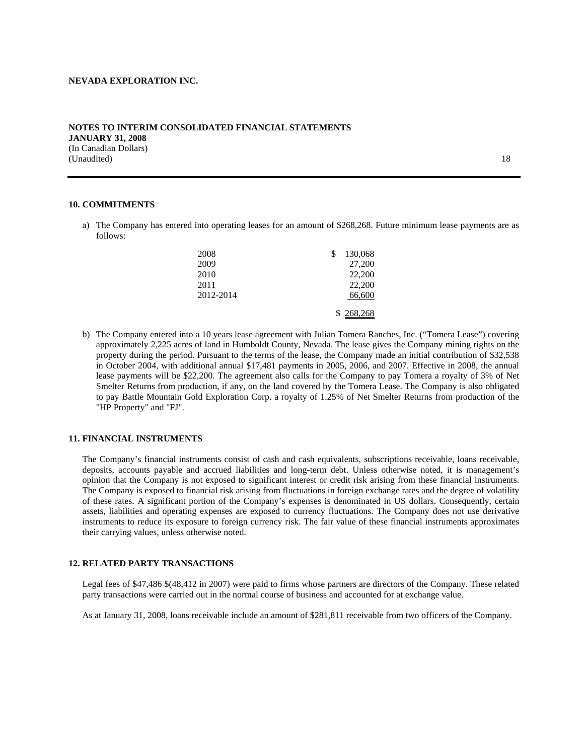### **NOTES TO INTERIM CONSOLIDATED FINANCIAL STATEMENTS JANUARY 31, 2008**  (In Canadian Dollars) (Unaudited) and the contract of the contract of the contract of the contract of the contract of the contract of the contract of the contract of the contract of the contract of the contract of the contract of the contract o

### **10. COMMITMENTS**

a) The Company has entered into operating leases for an amount of \$268,268. Future minimum lease payments are as follows:

| 2008      | \$<br>130,068 |
|-----------|---------------|
| 2009      | 27,200        |
| 2010      | 22,200        |
| 2011      | 22,200        |
| 2012-2014 | 66,600        |
|           | \$268,268     |

b) The Company entered into a 10 years lease agreement with Julian Tomera Ranches, Inc. ("Tomera Lease") covering approximately 2,225 acres of land in Humboldt County, Nevada. The lease gives the Company mining rights on the property during the period. Pursuant to the terms of the lease, the Company made an initial contribution of \$32,538 in October 2004, with additional annual \$17,481 payments in 2005, 2006, and 2007. Effective in 2008, the annual lease payments will be \$22,200. The agreement also calls for the Company to pay Tomera a royalty of 3% of Net Smelter Returns from production, if any, on the land covered by the Tomera Lease. The Company is also obligated to pay Battle Mountain Gold Exploration Corp. a royalty of 1.25% of Net Smelter Returns from production of the "HP Property" and "FJ".

### **11. FINANCIAL INSTRUMENTS**

The Company's financial instruments consist of cash and cash equivalents, subscriptions receivable, loans receivable, deposits, accounts payable and accrued liabilities and long-term debt. Unless otherwise noted, it is management's opinion that the Company is not exposed to significant interest or credit risk arising from these financial instruments. The Company is exposed to financial risk arising from fluctuations in foreign exchange rates and the degree of volatility of these rates. A significant portion of the Company's expenses is denominated in US dollars. Consequently, certain assets, liabilities and operating expenses are exposed to currency fluctuations. The Company does not use derivative instruments to reduce its exposure to foreign currency risk. The fair value of these financial instruments approximates their carrying values, unless otherwise noted.

#### **12. RELATED PARTY TRANSACTIONS**

Legal fees of \$47,486 \$(48,412 in 2007) were paid to firms whose partners are directors of the Company. These related party transactions were carried out in the normal course of business and accounted for at exchange value.

As at January 31, 2008, loans receivable include an amount of \$281,811 receivable from two officers of the Company.